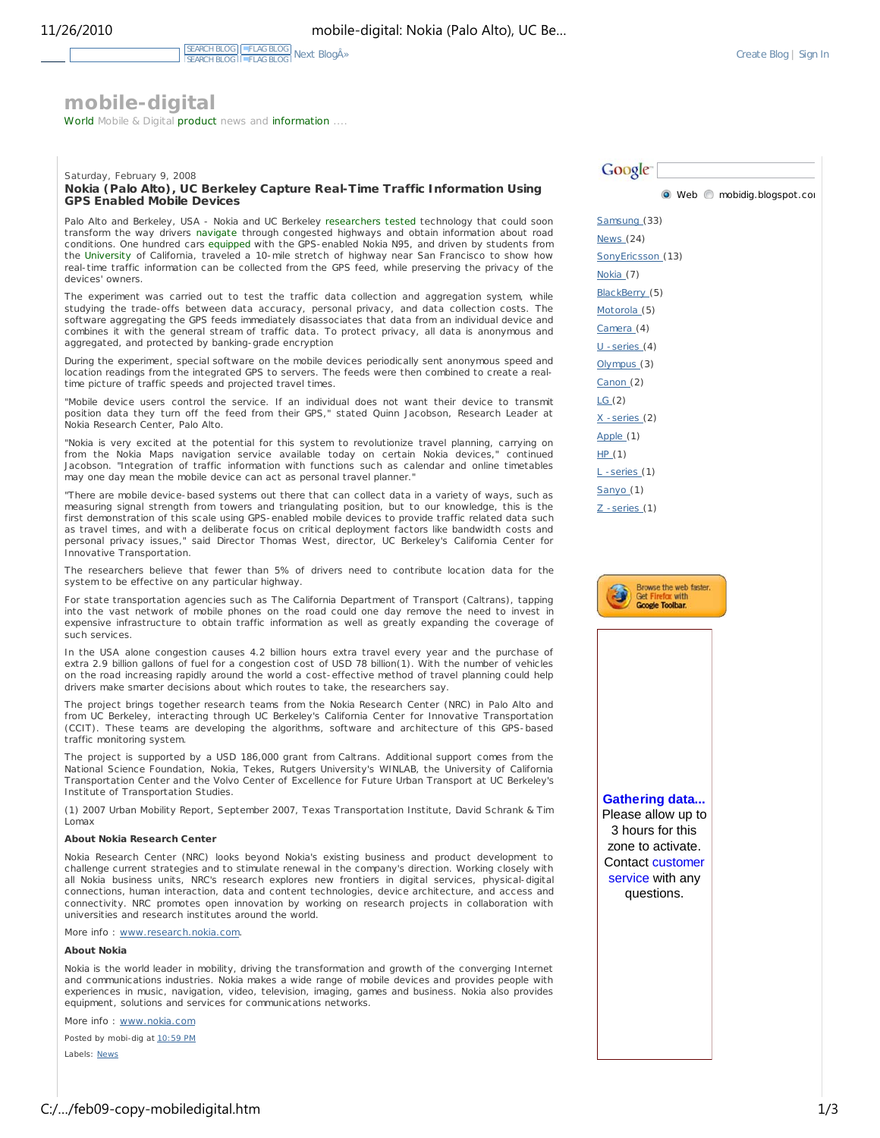# **mobile-digital**

World Mobile & Digital product news and information ....

#### Saturday, February 9, 2008 **Nokia (Palo Alto), UC Berkeley Capture Real-Time Traffic Information Using GPS Enabled Mobile Devices**

Palo Alto and Berkeley, USA - Nokia and UC Berkeley researchers tested technology that could soon transform the way drivers navigate through congested highways and obtain information about road conditions. One hundred cars equipped with the GPS-enabled Nokia N95, and driven by students from the University of California, traveled a 10-mile stretch of highway near San Francisco to show how real-time traffic information can be collected from the GPS feed, while preserving the privacy of the devices' owners.

The experiment was carried out to test the traffic data collection and aggregation system, while studying the trade-offs between data accuracy, personal privacy, and data collection costs. The software aggregating the GPS feeds immediately disassociates that data from an individual device and combines it with the general stream of traffic data. To protect privacy, all data is anonymous and aggregated, and protected by banking-grade encryption

During the experiment, special software on the mobile devices periodically sent anonymous speed and location readings from the integrated GPS to servers. The feeds were then combined to create a realtime picture of traffic speeds and projected travel times.

"Mobile device users control the service. If an individual does not want their device to transmit position data they turn off the feed from their GPS," stated Quinn Jacobson, Research Leader at Nokia Research Center, Palo Alto.

"Nokia is very excited at the potential for this system to revolutionize travel planning, carrying on from the Nokia Maps navigation service available today on certain Nokia devices," continued Jacobson. "Integration of traffic information with functions such as calendar and online timetables may one day mean the mobile device can act as personal travel planner.

"There are mobile device-based systems out there that can collect data in a variety of ways, such as measuring signal strength from towers and triangulating position, but to our knowledge, this is the first demonstration of this scale using GPS-enabled mobile devices to provide traffic related data such as travel times, and with a deliberate focus on critical deployment factors like bandwidth costs and personal privacy issues," said Director Thomas West, director, UC Berkeley's California Center for Innovative Transportation.

The researchers believe that fewer than 5% of drivers need to contribute location data for the system to be effective on any particular highway.

For state transportation agencies such as The California Department of Transport (Caltrans), tapping into the vast network of mobile phones on the road could one day remove the need to invest in expensive infrastructure to obtain traffic information as well as greatly expanding the coverage of such services.

In the USA alone congestion causes 4.2 billion hours extra travel every year and the purchase of extra 2.9 billion gallons of fuel for a congestion cost of USD 78 billion(1). With the number of vehicles on the road increasing rapidly around the world a cost-effective method of travel planning could help drivers make smarter decisions about which routes to take, the researchers say.

The project brings together research teams from the Nokia Research Center (NRC) in Palo Alto and from UC Berkeley, interacting through UC Berkeley's California Center for Innovative Transportation (CCIT). These teams are developing the algorithms, software and architecture of this GPS-based traffic monitoring system.

The project is supported by a USD 186,000 grant from Caltrans. Additional support comes from the National Science Foundation, Nokia, Tekes, Rutgers University's WINLAB, the University of California Transportation Center and the Volvo Center of Excellence for Future Urban Transport at UC Berkeley's Institute of Transportation Studies.

(1) 2007 Urban Mobility Report, September 2007, Texas Transportation Institute, David Schrank & Tim Lomax

#### **About Nokia Research Center**

Nokia Research Center (NRC) looks beyond Nokia's existing business and product development to challenge current strategies and to stimulate renewal in the company's direction. Working closely with all Nokia business units, NRC's research explores new frontiers in digital services, physical-digital connections, human interaction, data and content technologies, device architecture, and access and connectivity. NRC promotes open innovation by working on research projects in collaboration with universities and research institutes around the world.

More info : www.research.nokia.com

#### **About Nokia**

Nokia is the world leader in mobility, driving the transformation and growth of the converging Internet and communications industries. Nokia makes a wide range of mobile devices and provides people with experiences in music, navigation, video, television, imaging, games and business. Nokia also provides equipment, solutions and services for communications networks.

More info : www.nokia.com

Posted by mobi-dig at 10:59 PM

Labels: News

**Google** Web  $\bigcirc$  mobidig.blogspot.com Samsung (33) News (24) SonyEricsson (13) Nokia (7) BlackBerry (5) Motorola (5) Camera (4) U -series (4) Olympus (3) Canon (2) LG (2) X -series (2) Apple (1) HP (1) L -series (1) Sanyo (1) Z -series (1)



**Gathering data...** Please allow up to 3 hours for this zone to activate. Contact customer service with any questions.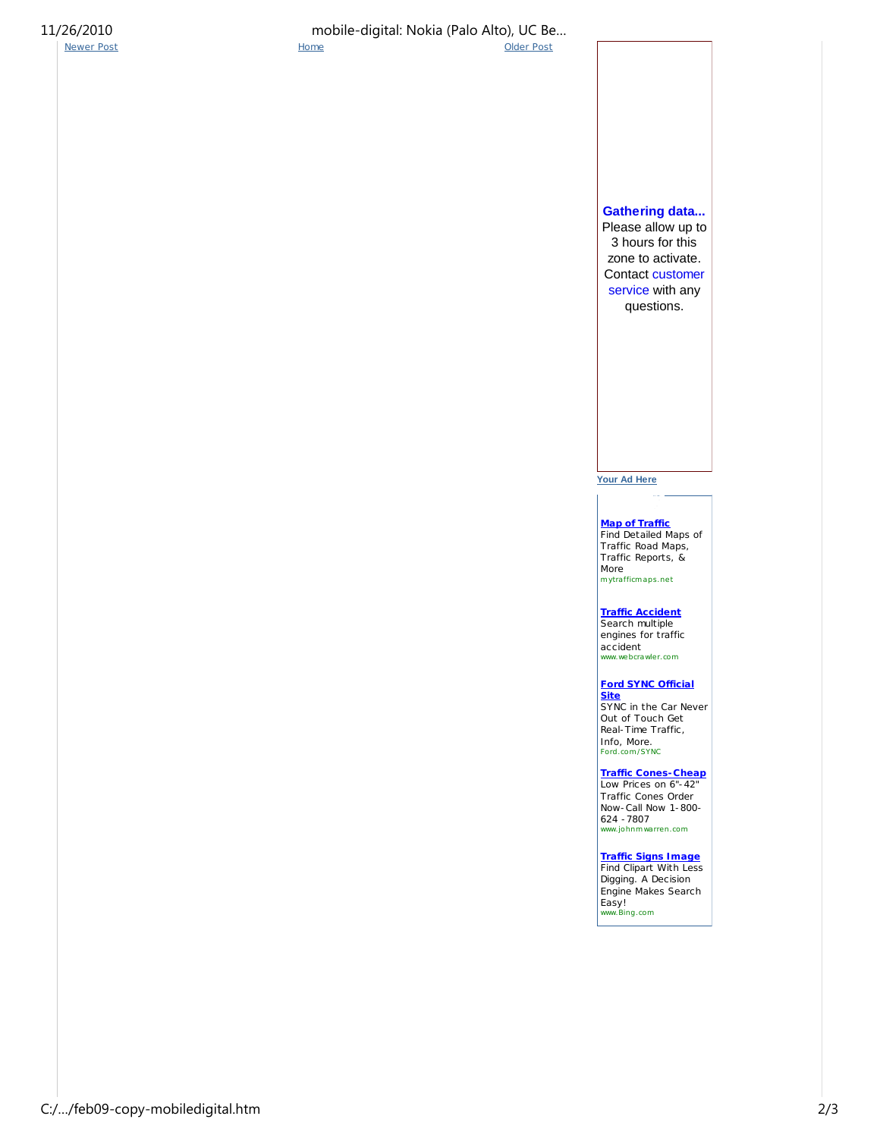Newer Post **Home Home Contained Post Contained Post** 

11/26/2010 mobile-digital: Nokia (Palo Alto), UC Be…

**Gathering data...** Please allow up to 3 hours for this zone to activate. Contact customer service with any questions.

**Your Ad Here**

**Map of Traffic** Find Detailed Maps of Traffic Road Maps, Traffic Reports, & More mytrafficmaps.net

**Traffic Accident**

Search multiple engines for traffic accident www.webcrawler.com

**Ford SYNC Official Site** SYNC in the Car Never Out of Touch Get Real-Time Traffic, Info, More. Ford.com /SYNC

**Traffic Cones-Cheap** Low Prices on 6"-42" Traffic Cones Order Now-Call Now 1-800- 624 -7807 www.johnmwarren.com

**Traffic Signs Image Find Clipart With Less** Digging. A Decision Engine Makes Search Easy! www.Bing.com